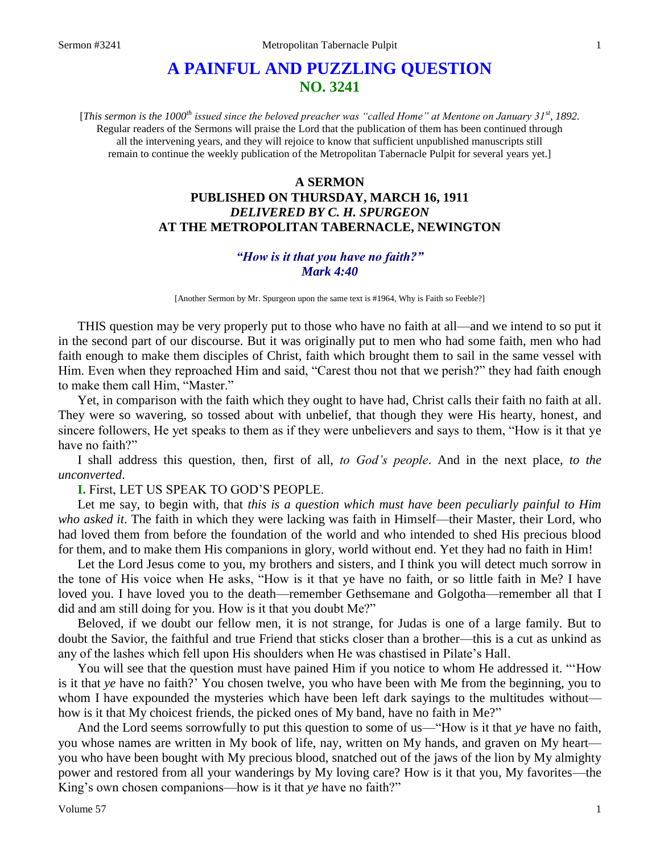# **A PAINFUL AND PUZZLING QUESTION NO. 3241**

[*This sermon is the 1000th issued since the beloved preacher was "called Home" at Mentone on January 31st, 1892.* Regular readers of the Sermons will praise the Lord that the publication of them has been continued through all the intervening years, and they will rejoice to know that sufficient unpublished manuscripts still remain to continue the weekly publication of the Metropolitan Tabernacle Pulpit for several years yet.]

## **A SERMON PUBLISHED ON THURSDAY, MARCH 16, 1911** *DELIVERED BY C. H. SPURGEON* **AT THE METROPOLITAN TABERNACLE, NEWINGTON**

## *"How is it that you have no faith?" Mark 4:40*

[Another Sermon by Mr. Spurgeon upon the same text is #1964, Why is Faith so Feeble?]

THIS question may be very properly put to those who have no faith at all—and we intend to so put it in the second part of our discourse. But it was originally put to men who had some faith, men who had faith enough to make them disciples of Christ, faith which brought them to sail in the same vessel with Him. Even when they reproached Him and said, "Carest thou not that we perish?" they had faith enough to make them call Him, "Master."

Yet, in comparison with the faith which they ought to have had, Christ calls their faith no faith at all. They were so wavering, so tossed about with unbelief, that though they were His hearty, honest, and sincere followers, He yet speaks to them as if they were unbelievers and says to them, "How is it that ye have no faith?"

I shall address this question, then, first of all, *to God's people*. And in the next place, *to the unconverted*.

**I.** First, LET US SPEAK TO GOD'S PEOPLE.

Let me say, to begin with, that *this is a question which must have been peculiarly painful to Him who asked it*. The faith in which they were lacking was faith in Himself—their Master, their Lord, who had loved them from before the foundation of the world and who intended to shed His precious blood for them, and to make them His companions in glory, world without end. Yet they had no faith in Him!

Let the Lord Jesus come to you, my brothers and sisters, and I think you will detect much sorrow in the tone of His voice when He asks, "How is it that ye have no faith, or so little faith in Me? I have loved you. I have loved you to the death—remember Gethsemane and Golgotha—remember all that I did and am still doing for you. How is it that you doubt Me?"

Beloved, if we doubt our fellow men, it is not strange, for Judas is one of a large family. But to doubt the Savior, the faithful and true Friend that sticks closer than a brother—this is a cut as unkind as any of the lashes which fell upon His shoulders when He was chastised in Pilate's Hall.

You will see that the question must have pained Him if you notice to whom He addressed it. "'How is it that *ye* have no faith?' You chosen twelve, you who have been with Me from the beginning, you to whom I have expounded the mysteries which have been left dark sayings to the multitudes without how is it that My choicest friends, the picked ones of My band, have no faith in Me?"

And the Lord seems sorrowfully to put this question to some of us—"How is it that *ye* have no faith, you whose names are written in My book of life, nay, written on My hands, and graven on My heart you who have been bought with My precious blood, snatched out of the jaws of the lion by My almighty power and restored from all your wanderings by My loving care? How is it that you, My favorites—the King's own chosen companions—how is it that *ye* have no faith?"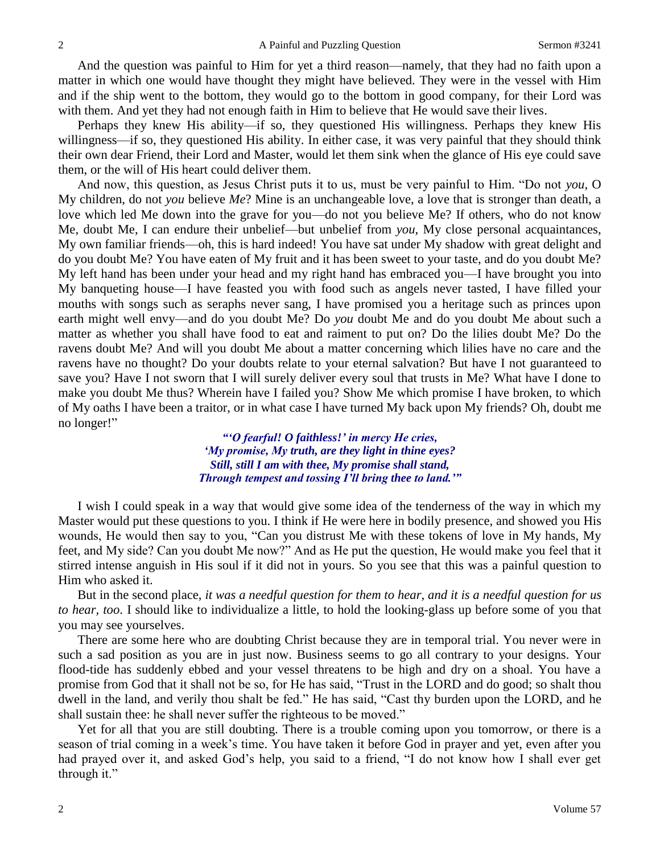And the question was painful to Him for yet a third reason—namely, that they had no faith upon a matter in which one would have thought they might have believed. They were in the vessel with Him and if the ship went to the bottom, they would go to the bottom in good company, for their Lord was with them. And yet they had not enough faith in Him to believe that He would save their lives.

Perhaps they knew His ability—if so, they questioned His willingness. Perhaps they knew His willingness—if so, they questioned His ability. In either case, it was very painful that they should think their own dear Friend, their Lord and Master, would let them sink when the glance of His eye could save them, or the will of His heart could deliver them.

And now, this question, as Jesus Christ puts it to us, must be very painful to Him. "Do not *you*, O My children, do not *you* believe *Me*? Mine is an unchangeable love, a love that is stronger than death, a love which led Me down into the grave for you—do not you believe Me? If others, who do not know Me, doubt Me, I can endure their unbelief—but unbelief from *you*, My close personal acquaintances, My own familiar friends—oh, this is hard indeed! You have sat under My shadow with great delight and do you doubt Me? You have eaten of My fruit and it has been sweet to your taste, and do you doubt Me? My left hand has been under your head and my right hand has embraced you—I have brought you into My banqueting house—I have feasted you with food such as angels never tasted, I have filled your mouths with songs such as seraphs never sang, I have promised you a heritage such as princes upon earth might well envy—and do you doubt Me? Do *you* doubt Me and do you doubt Me about such a matter as whether you shall have food to eat and raiment to put on? Do the lilies doubt Me? Do the ravens doubt Me? And will you doubt Me about a matter concerning which lilies have no care and the ravens have no thought? Do your doubts relate to your eternal salvation? But have I not guaranteed to save you? Have I not sworn that I will surely deliver every soul that trusts in Me? What have I done to make you doubt Me thus? Wherein have I failed you? Show Me which promise I have broken, to which of My oaths I have been a traitor, or in what case I have turned My back upon My friends? Oh, doubt me no longer!"

> *"'O fearful! O faithless!' in mercy He cries, 'My promise, My truth, are they light in thine eyes? Still, still I am with thee, My promise shall stand, Through tempest and tossing I'll bring thee to land.'"*

I wish I could speak in a way that would give some idea of the tenderness of the way in which my Master would put these questions to you. I think if He were here in bodily presence, and showed you His wounds, He would then say to you, "Can you distrust Me with these tokens of love in My hands, My feet, and My side? Can you doubt Me now?" And as He put the question, He would make you feel that it stirred intense anguish in His soul if it did not in yours. So you see that this was a painful question to Him who asked it.

But in the second place, *it was a needful question for them to hear, and it is a needful question for us to hear, too*. I should like to individualize a little, to hold the looking-glass up before some of you that you may see yourselves.

There are some here who are doubting Christ because they are in temporal trial. You never were in such a sad position as you are in just now. Business seems to go all contrary to your designs. Your flood-tide has suddenly ebbed and your vessel threatens to be high and dry on a shoal. You have a promise from God that it shall not be so, for He has said, "Trust in the LORD and do good; so shalt thou dwell in the land, and verily thou shalt be fed." He has said, "Cast thy burden upon the LORD, and he shall sustain thee: he shall never suffer the righteous to be moved."

Yet for all that you are still doubting. There is a trouble coming upon you tomorrow, or there is a season of trial coming in a week's time. You have taken it before God in prayer and yet, even after you had prayed over it, and asked God's help, you said to a friend, "I do not know how I shall ever get through it."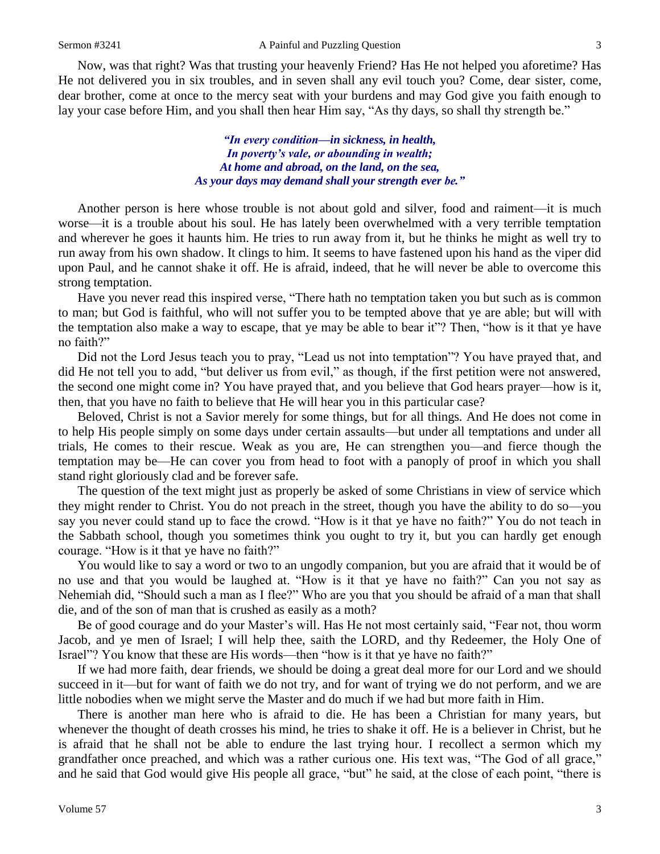Now, was that right? Was that trusting your heavenly Friend? Has He not helped you aforetime? Has He not delivered you in six troubles, and in seven shall any evil touch you? Come, dear sister, come, dear brother, come at once to the mercy seat with your burdens and may God give you faith enough to lay your case before Him, and you shall then hear Him say, "As thy days, so shall thy strength be."

> *"In every condition—in sickness, in health, In poverty's vale, or abounding in wealth; At home and abroad, on the land, on the sea, As your days may demand shall your strength ever be."*

Another person is here whose trouble is not about gold and silver, food and raiment—it is much worse—it is a trouble about his soul. He has lately been overwhelmed with a very terrible temptation and wherever he goes it haunts him. He tries to run away from it, but he thinks he might as well try to run away from his own shadow. It clings to him. It seems to have fastened upon his hand as the viper did upon Paul, and he cannot shake it off. He is afraid, indeed, that he will never be able to overcome this strong temptation.

Have you never read this inspired verse, "There hath no temptation taken you but such as is common to man; but God is faithful, who will not suffer you to be tempted above that ye are able; but will with the temptation also make a way to escape, that ye may be able to bear it"? Then, "how is it that ye have no faith?"

Did not the Lord Jesus teach you to pray, "Lead us not into temptation"? You have prayed that, and did He not tell you to add, "but deliver us from evil," as though, if the first petition were not answered, the second one might come in? You have prayed that, and you believe that God hears prayer—how is it, then, that you have no faith to believe that He will hear you in this particular case?

Beloved, Christ is not a Savior merely for some things, but for all things*.* And He does not come in to help His people simply on some days under certain assaults—but under all temptations and under all trials, He comes to their rescue. Weak as you are, He can strengthen you—and fierce though the temptation may be—He can cover you from head to foot with a panoply of proof in which you shall stand right gloriously clad and be forever safe.

The question of the text might just as properly be asked of some Christians in view of service which they might render to Christ. You do not preach in the street, though you have the ability to do so—you say you never could stand up to face the crowd. "How is it that ye have no faith?" You do not teach in the Sabbath school, though you sometimes think you ought to try it, but you can hardly get enough courage. "How is it that ye have no faith?"

You would like to say a word or two to an ungodly companion, but you are afraid that it would be of no use and that you would be laughed at. "How is it that ye have no faith?" Can you not say as Nehemiah did, "Should such a man as I flee?" Who are you that you should be afraid of a man that shall die, and of the son of man that is crushed as easily as a moth?

Be of good courage and do your Master's will. Has He not most certainly said, "Fear not, thou worm Jacob, and ye men of Israel; I will help thee, saith the LORD, and thy Redeemer, the Holy One of Israel"? You know that these are His words—then "how is it that ye have no faith?"

If we had more faith, dear friends, we should be doing a great deal more for our Lord and we should succeed in it—but for want of faith we do not try, and for want of trying we do not perform, and we are little nobodies when we might serve the Master and do much if we had but more faith in Him.

There is another man here who is afraid to die. He has been a Christian for many years, but whenever the thought of death crosses his mind, he tries to shake it off. He is a believer in Christ, but he is afraid that he shall not be able to endure the last trying hour. I recollect a sermon which my grandfather once preached, and which was a rather curious one. His text was, "The God of all grace," and he said that God would give His people all grace, "but" he said, at the close of each point, "there is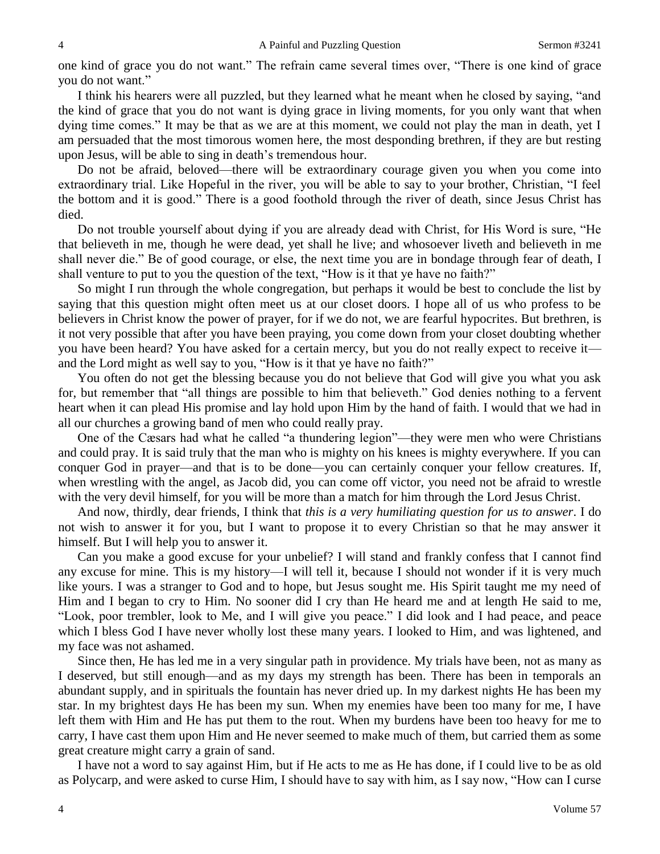one kind of grace you do not want." The refrain came several times over, "There is one kind of grace you do not want."

I think his hearers were all puzzled, but they learned what he meant when he closed by saying, "and the kind of grace that you do not want is dying grace in living moments, for you only want that when dying time comes." It may be that as we are at this moment, we could not play the man in death, yet I am persuaded that the most timorous women here, the most desponding brethren, if they are but resting upon Jesus, will be able to sing in death's tremendous hour.

Do not be afraid, beloved—there will be extraordinary courage given you when you come into extraordinary trial. Like Hopeful in the river, you will be able to say to your brother, Christian, "I feel the bottom and it is good." There is a good foothold through the river of death, since Jesus Christ has died.

Do not trouble yourself about dying if you are already dead with Christ, for His Word is sure, "He that believeth in me, though he were dead, yet shall he live; and whosoever liveth and believeth in me shall never die." Be of good courage, or else, the next time you are in bondage through fear of death, I shall venture to put to you the question of the text, "How is it that ye have no faith?"

So might I run through the whole congregation, but perhaps it would be best to conclude the list by saying that this question might often meet us at our closet doors. I hope all of us who profess to be believers in Christ know the power of prayer, for if we do not, we are fearful hypocrites. But brethren, is it not very possible that after you have been praying, you come down from your closet doubting whether you have been heard? You have asked for a certain mercy, but you do not really expect to receive it and the Lord might as well say to you, "How is it that ye have no faith?"

You often do not get the blessing because you do not believe that God will give you what you ask for, but remember that "all things are possible to him that believeth." God denies nothing to a fervent heart when it can plead His promise and lay hold upon Him by the hand of faith. I would that we had in all our churches a growing band of men who could really pray.

One of the Cæsars had what he called "a thundering legion"—they were men who were Christians and could pray. It is said truly that the man who is mighty on his knees is mighty everywhere. If you can conquer God in prayer—and that is to be done—you can certainly conquer your fellow creatures. If, when wrestling with the angel, as Jacob did, you can come off victor, you need not be afraid to wrestle with the very devil himself, for you will be more than a match for him through the Lord Jesus Christ.

And now, thirdly, dear friends, I think that *this is a very humiliating question for us to answer*. I do not wish to answer it for you, but I want to propose it to every Christian so that he may answer it himself. But I will help you to answer it.

Can you make a good excuse for your unbelief? I will stand and frankly confess that I cannot find any excuse for mine. This is my history—I will tell it, because I should not wonder if it is very much like yours. I was a stranger to God and to hope, but Jesus sought me. His Spirit taught me my need of Him and I began to cry to Him. No sooner did I cry than He heard me and at length He said to me, "Look, poor trembler, look to Me, and I will give you peace." I did look and I had peace, and peace which I bless God I have never wholly lost these many years. I looked to Him, and was lightened, and my face was not ashamed.

Since then, He has led me in a very singular path in providence. My trials have been, not as many as I deserved, but still enough—and as my days my strength has been. There has been in temporals an abundant supply, and in spirituals the fountain has never dried up. In my darkest nights He has been my star. In my brightest days He has been my sun. When my enemies have been too many for me, I have left them with Him and He has put them to the rout. When my burdens have been too heavy for me to carry, I have cast them upon Him and He never seemed to make much of them, but carried them as some great creature might carry a grain of sand.

I have not a word to say against Him, but if He acts to me as He has done, if I could live to be as old as Polycarp, and were asked to curse Him, I should have to say with him, as I say now, "How can I curse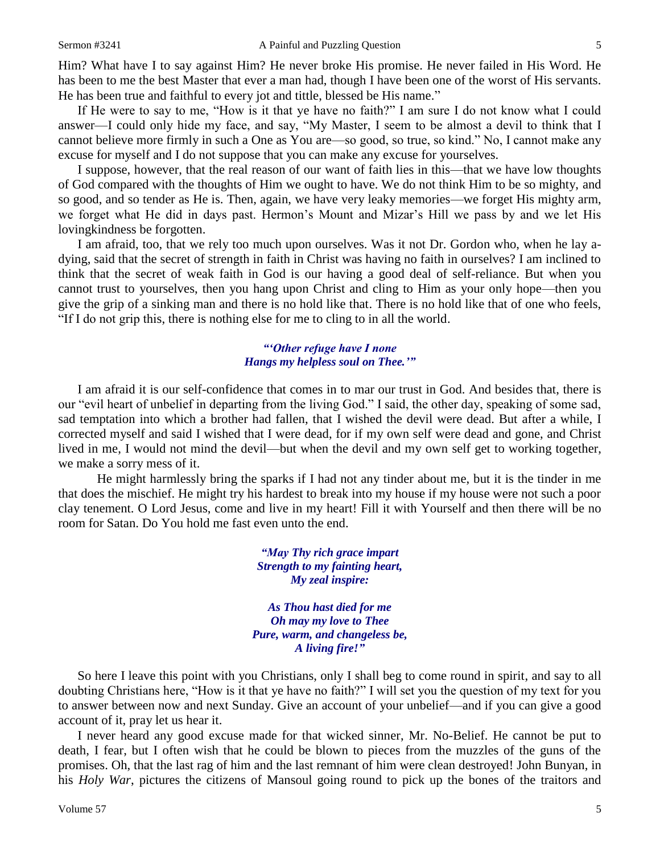Him? What have I to say against Him? He never broke His promise. He never failed in His Word. He has been to me the best Master that ever a man had, though I have been one of the worst of His servants. He has been true and faithful to every jot and tittle, blessed be His name."

If He were to say to me, "How is it that ye have no faith?" I am sure I do not know what I could answer—I could only hide my face, and say, "My Master, I seem to be almost a devil to think that I cannot believe more firmly in such a One as You are—so good, so true, so kind." No, I cannot make any excuse for myself and I do not suppose that you can make any excuse for yourselves.

I suppose, however, that the real reason of our want of faith lies in this—that we have low thoughts of God compared with the thoughts of Him we ought to have. We do not think Him to be so mighty, and so good, and so tender as He is. Then, again, we have very leaky memories—we forget His mighty arm, we forget what He did in days past. Hermon's Mount and Mizar's Hill we pass by and we let His lovingkindness be forgotten.

I am afraid, too, that we rely too much upon ourselves. Was it not Dr. Gordon who, when he lay adying, said that the secret of strength in faith in Christ was having no faith in ourselves? I am inclined to think that the secret of weak faith in God is our having a good deal of self-reliance. But when you cannot trust to yourselves, then you hang upon Christ and cling to Him as your only hope—then you give the grip of a sinking man and there is no hold like that. There is no hold like that of one who feels, "If I do not grip this, there is nothing else for me to cling to in all the world.

#### *"'Other refuge have I none Hangs my helpless soul on Thee.'"*

I am afraid it is our self-confidence that comes in to mar our trust in God. And besides that, there is our "evil heart of unbelief in departing from the living God." I said, the other day, speaking of some sad, sad temptation into which a brother had fallen, that I wished the devil were dead. But after a while, I corrected myself and said I wished that I were dead, for if my own self were dead and gone, and Christ lived in me, I would not mind the devil—but when the devil and my own self get to working together, we make a sorry mess of it.

He might harmlessly bring the sparks if I had not any tinder about me, but it is the tinder in me that does the mischief. He might try his hardest to break into my house if my house were not such a poor clay tenement. O Lord Jesus, come and live in my heart! Fill it with Yourself and then there will be no room for Satan. Do You hold me fast even unto the end.

> *"May Thy rich grace impart Strength to my fainting heart, My zeal inspire:*

*As Thou hast died for me Oh may my love to Thee Pure, warm, and changeless be, A living fire!"*

So here I leave this point with you Christians, only I shall beg to come round in spirit, and say to all doubting Christians here, "How is it that ye have no faith?" I will set you the question of my text for you to answer between now and next Sunday. Give an account of your unbelief—and if you can give a good account of it, pray let us hear it.

I never heard any good excuse made for that wicked sinner, Mr. No-Belief. He cannot be put to death, I fear, but I often wish that he could be blown to pieces from the muzzles of the guns of the promises. Oh, that the last rag of him and the last remnant of him were clean destroyed! John Bunyan, in his *Holy War*, pictures the citizens of Mansoul going round to pick up the bones of the traitors and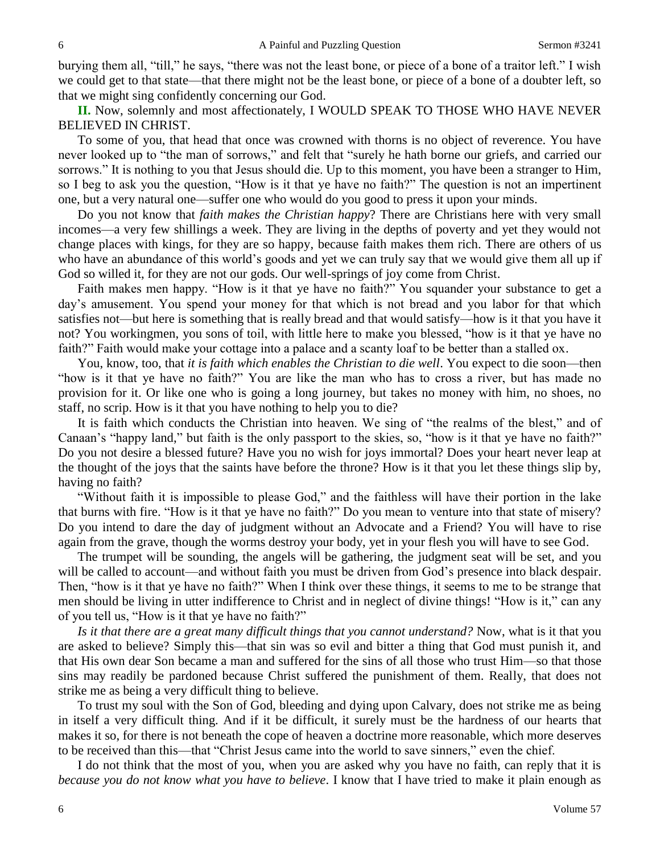burying them all, "till," he says, "there was not the least bone, or piece of a bone of a traitor left." I wish we could get to that state—that there might not be the least bone, or piece of a bone of a doubter left, so that we might sing confidently concerning our God.

**II.** Now, solemnly and most affectionately, I WOULD SPEAK TO THOSE WHO HAVE NEVER BELIEVED IN CHRIST.

To some of you, that head that once was crowned with thorns is no object of reverence. You have never looked up to "the man of sorrows," and felt that "surely he hath borne our griefs, and carried our sorrows." It is nothing to you that Jesus should die. Up to this moment, you have been a stranger to Him, so I beg to ask you the question, "How is it that ye have no faith?" The question is not an impertinent one, but a very natural one—suffer one who would do you good to press it upon your minds.

Do you not know that *faith makes the Christian happy*? There are Christians here with very small incomes—a very few shillings a week. They are living in the depths of poverty and yet they would not change places with kings, for they are so happy, because faith makes them rich. There are others of us who have an abundance of this world's goods and yet we can truly say that we would give them all up if God so willed it, for they are not our gods. Our well-springs of joy come from Christ.

Faith makes men happy. "How is it that ye have no faith?" You squander your substance to get a day's amusement. You spend your money for that which is not bread and you labor for that which satisfies not—but here is something that is really bread and that would satisfy—how is it that you have it not? You workingmen, you sons of toil, with little here to make you blessed, "how is it that ye have no faith?" Faith would make your cottage into a palace and a scanty loaf to be better than a stalled ox.

You, know, too, that *it is faith which enables the Christian to die well*. You expect to die soon—then "how is it that ye have no faith?" You are like the man who has to cross a river, but has made no provision for it. Or like one who is going a long journey, but takes no money with him, no shoes, no staff, no scrip. How is it that you have nothing to help you to die?

It is faith which conducts the Christian into heaven. We sing of "the realms of the blest," and of Canaan's "happy land," but faith is the only passport to the skies, so, "how is it that ye have no faith?" Do you not desire a blessed future? Have you no wish for joys immortal? Does your heart never leap at the thought of the joys that the saints have before the throne? How is it that you let these things slip by, having no faith?

"Without faith it is impossible to please God," and the faithless will have their portion in the lake that burns with fire. "How is it that ye have no faith?" Do you mean to venture into that state of misery? Do you intend to dare the day of judgment without an Advocate and a Friend? You will have to rise again from the grave, though the worms destroy your body, yet in your flesh you will have to see God.

The trumpet will be sounding, the angels will be gathering, the judgment seat will be set, and you will be called to account—and without faith you must be driven from God's presence into black despair. Then, "how is it that ye have no faith?" When I think over these things, it seems to me to be strange that men should be living in utter indifference to Christ and in neglect of divine things! "How is it," can any of you tell us, "How is it that ye have no faith?"

*Is it that there are a great many difficult things that you cannot understand?* Now, what is it that you are asked to believe? Simply this—that sin was so evil and bitter a thing that God must punish it, and that His own dear Son became a man and suffered for the sins of all those who trust Him—so that those sins may readily be pardoned because Christ suffered the punishment of them. Really, that does not strike me as being a very difficult thing to believe.

To trust my soul with the Son of God, bleeding and dying upon Calvary, does not strike me as being in itself a very difficult thing. And if it be difficult, it surely must be the hardness of our hearts that makes it so, for there is not beneath the cope of heaven a doctrine more reasonable, which more deserves to be received than this—that "Christ Jesus came into the world to save sinners," even the chief.

I do not think that the most of you, when you are asked why you have no faith, can reply that it is *because you do not know what you have to believe*. I know that I have tried to make it plain enough as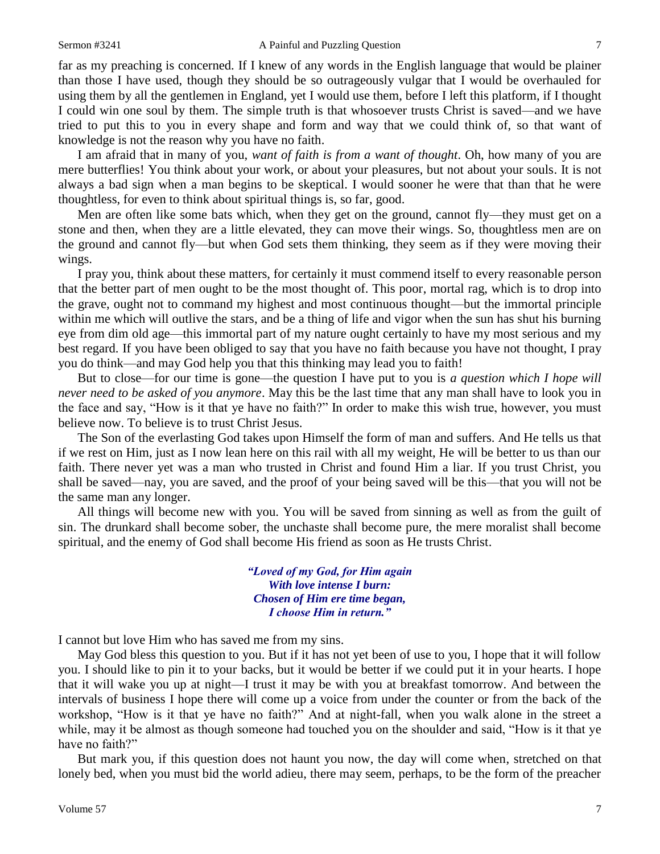far as my preaching is concerned. If I knew of any words in the English language that would be plainer than those I have used, though they should be so outrageously vulgar that I would be overhauled for using them by all the gentlemen in England, yet I would use them, before I left this platform, if I thought I could win one soul by them. The simple truth is that whosoever trusts Christ is saved—and we have tried to put this to you in every shape and form and way that we could think of, so that want of knowledge is not the reason why you have no faith.

I am afraid that in many of you, *want of faith is from a want of thought*. Oh, how many of you are mere butterflies! You think about your work, or about your pleasures, but not about your souls. It is not always a bad sign when a man begins to be skeptical. I would sooner he were that than that he were thoughtless, for even to think about spiritual things is, so far, good.

Men are often like some bats which, when they get on the ground, cannot fly—they must get on a stone and then, when they are a little elevated, they can move their wings. So, thoughtless men are on the ground and cannot fly—but when God sets them thinking, they seem as if they were moving their wings.

I pray you, think about these matters, for certainly it must commend itself to every reasonable person that the better part of men ought to be the most thought of. This poor, mortal rag, which is to drop into the grave, ought not to command my highest and most continuous thought—but the immortal principle within me which will outlive the stars, and be a thing of life and vigor when the sun has shut his burning eye from dim old age—this immortal part of my nature ought certainly to have my most serious and my best regard. If you have been obliged to say that you have no faith because you have not thought, I pray you do think—and may God help you that this thinking may lead you to faith!

But to close—for our time is gone—the question I have put to you is *a question which I hope will never need to be asked of you anymore*. May this be the last time that any man shall have to look you in the face and say, "How is it that ye have no faith?" In order to make this wish true, however, you must believe now. To believe is to trust Christ Jesus.

The Son of the everlasting God takes upon Himself the form of man and suffers. And He tells us that if we rest on Him, just as I now lean here on this rail with all my weight, He will be better to us than our faith. There never yet was a man who trusted in Christ and found Him a liar. If you trust Christ, you shall be saved—nay, you are saved, and the proof of your being saved will be this—that you will not be the same man any longer.

All things will become new with you. You will be saved from sinning as well as from the guilt of sin. The drunkard shall become sober, the unchaste shall become pure, the mere moralist shall become spiritual, and the enemy of God shall become His friend as soon as He trusts Christ.

> *"Loved of my God, for Him again With love intense I burn: Chosen of Him ere time began, I choose Him in return."*

I cannot but love Him who has saved me from my sins.

May God bless this question to you. But if it has not yet been of use to you, I hope that it will follow you. I should like to pin it to your backs, but it would be better if we could put it in your hearts. I hope that it will wake you up at night—I trust it may be with you at breakfast tomorrow. And between the intervals of business I hope there will come up a voice from under the counter or from the back of the workshop, "How is it that ye have no faith?" And at night-fall, when you walk alone in the street a while, may it be almost as though someone had touched you on the shoulder and said, "How is it that ye have no faith?"

But mark you, if this question does not haunt you now, the day will come when, stretched on that lonely bed, when you must bid the world adieu, there may seem, perhaps, to be the form of the preacher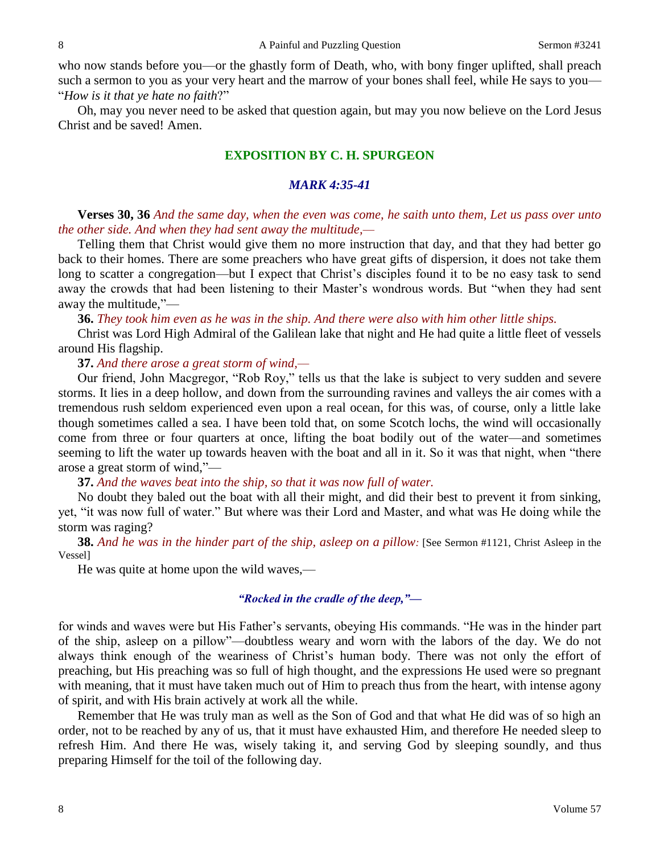who now stands before you—or the ghastly form of Death, who, with bony finger uplifted, shall preach such a sermon to you as your very heart and the marrow of your bones shall feel, while He says to you— "*How is it that ye hate no faith*?"

Oh, may you never need to be asked that question again, but may you now believe on the Lord Jesus Christ and be saved! Amen.

## **EXPOSITION BY C. H. SPURGEON**

## *MARK 4:35-41*

**Verses 30, 36** *And the same day, when the even was come, he saith unto them, Let us pass over unto the other side. And when they had sent away the multitude,—*

Telling them that Christ would give them no more instruction that day, and that they had better go back to their homes. There are some preachers who have great gifts of dispersion, it does not take them long to scatter a congregation—but I expect that Christ's disciples found it to be no easy task to send away the crowds that had been listening to their Master's wondrous words. But "when they had sent away the multitude,"—

**36.** *They took him even as he was in the ship. And there were also with him other little ships.*

Christ was Lord High Admiral of the Galilean lake that night and He had quite a little fleet of vessels around His flagship.

**37.** *And there arose a great storm of wind,—*

Our friend, John Macgregor, "Rob Roy," tells us that the lake is subject to very sudden and severe storms. It lies in a deep hollow, and down from the surrounding ravines and valleys the air comes with a tremendous rush seldom experienced even upon a real ocean, for this was, of course, only a little lake though sometimes called a sea. I have been told that, on some Scotch lochs, the wind will occasionally come from three or four quarters at once, lifting the boat bodily out of the water—and sometimes seeming to lift the water up towards heaven with the boat and all in it. So it was that night, when "there arose a great storm of wind,"—

**37.** *And the waves beat into the ship, so that it was now full of water.* 

No doubt they baled out the boat with all their might, and did their best to prevent it from sinking, yet, "it was now full of water." But where was their Lord and Master, and what was He doing while the storm was raging?

**38.** *And he was in the hinder part of the ship, asleep on a pillow:* [See Sermon #1121, Christ Asleep in the Vessel]

He was quite at home upon the wild waves,—

### *"Rocked in the cradle of the deep,"—*

for winds and waves were but His Father's servants, obeying His commands. "He was in the hinder part of the ship, asleep on a pillow"—doubtless weary and worn with the labors of the day. We do not always think enough of the weariness of Christ's human body. There was not only the effort of preaching, but His preaching was so full of high thought, and the expressions He used were so pregnant with meaning, that it must have taken much out of Him to preach thus from the heart, with intense agony of spirit, and with His brain actively at work all the while.

Remember that He was truly man as well as the Son of God and that what He did was of so high an order, not to be reached by any of us, that it must have exhausted Him, and therefore He needed sleep to refresh Him. And there He was, wisely taking it, and serving God by sleeping soundly, and thus preparing Himself for the toil of the following day.